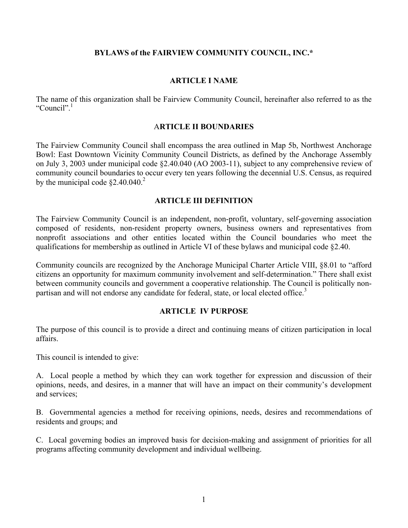## **BYLAWS of the FAIRVIEW COMMUNITY COUNCIL, INC.\***

## **ARTICLE I NAME**

The name of this organization shall be Fairview Community Council, hereinafter also referred to as the "Council"<sup>1</sup>

## A**RTICLE II BOUNDARIES**

The Fairview Community Council shall encompass the area outlined in Map 5b, Northwest Anchorage Bowl: East Downtown Vicinity Community Council Districts, as defined by the Anchorage Assembly on July 3, 2003 under municipal code §2.40.040 (AO 2003-11), subject to any comprehensive review of community council boundaries to occur every ten years following the decennial U.S. Census, as required by the municipal code  $\S 2.40.040$ <sup>2</sup>

### **ARTICLE III DEFINITION**

The Fairview Community Council is an independent, non-profit, voluntary, self-governing association composed of residents, non-resident property owners, business owners and representatives from nonprofit associations and other entities located within the Council boundaries who meet the qualifications for membership as outlined in Article VI of these bylaws and municipal code §2.40.

Community councils are recognized by the Anchorage Municipal Charter Article VIII, §8.01 to "afford citizens an opportunity for maximum community involvement and self-determination." There shall exist between community councils and government a cooperative relationship. The Council is politically nonpartisan and will not endorse any candidate for federal, state, or local elected office.<sup>3</sup>

### **ARTICLE IV PURPOSE**

The purpose of this council is to provide a direct and continuing means of citizen participation in local affairs.

This council is intended to give:

A. Local people a method by which they can work together for expression and discussion of their opinions, needs, and desires, in a manner that will have an impact on their community's development and services;

B. Governmental agencies a method for receiving opinions, needs, desires and recommendations of residents and groups; and

C. Local governing bodies an improved basis for decision-making and assignment of priorities for all programs affecting community development and individual wellbeing.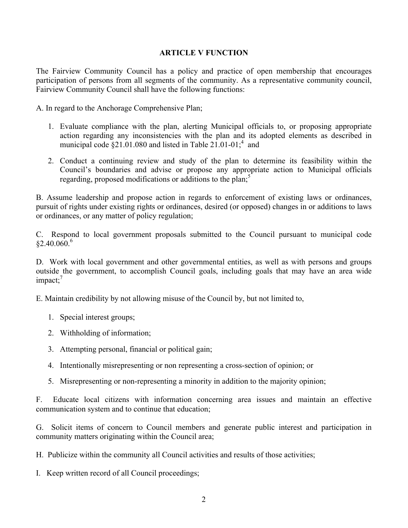## **ARTICLE V FUNCTION**

The Fairview Community Council has a policy and practice of open membership that encourages participation of persons from all segments of the community. As a representative community council, Fairview Community Council shall have the following functions:

A. In regard to the Anchorage Comprehensive Plan;

- 1. Evaluate compliance with the plan, alerting Municipal officials to, or proposing appropriate action regarding any inconsistencies with the plan and its adopted elements as described in municipal code  $\S21.01.080$  and listed in Table 21.01-01;<sup>4</sup> and
- 2. Conduct a continuing review and study of the plan to determine its feasibility within the Council's boundaries and advise or propose any appropriate action to Municipal officials regarding, proposed modifications or additions to the plan;<sup>5</sup>

B. Assume leadership and propose action in regards to enforcement of existing laws or ordinances, pursuit of rights under existing rights or ordinances, desired (or opposed) changes in or additions to laws or ordinances, or any matter of policy regulation;

C. Respond to local government proposals submitted to the Council pursuant to municipal code  $§2.40.060.$ <sup>6</sup>

D. Work with local government and other governmental entities, as well as with persons and groups outside the government, to accomplish Council goals, including goals that may have an area wide  $impact:$ <sup>7</sup>

E. Maintain credibility by not allowing misuse of the Council by, but not limited to,

- 1. Special interest groups;
- 2. Withholding of information;
- 3. Attempting personal, financial or political gain;
- 4. Intentionally misrepresenting or non representing a cross-section of opinion; or
- 5. Misrepresenting or non-representing a minority in addition to the majority opinion;

F. Educate local citizens with information concerning area issues and maintain an effective communication system and to continue that education;

G. Solicit items of concern to Council members and generate public interest and participation in community matters originating within the Council area;

H. Publicize within the community all Council activities and results of those activities;

I. Keep written record of all Council proceedings;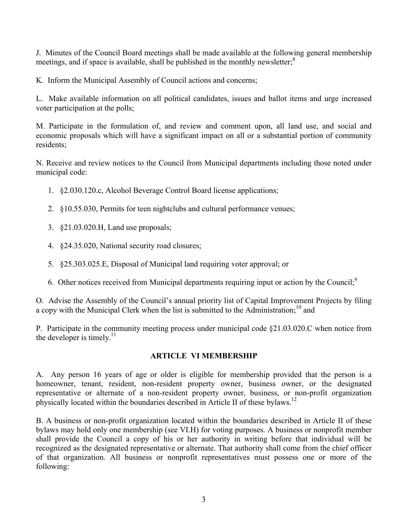J. Minutes of the Council Board meetings shall be made available at the following general membership meetings, and if space is available, shall be published in the monthly newsletter; $<sup>8</sup>$ </sup>

K. Inform the Municipal Assembly of Council actions and concerns;

L. Make available information on all political candidates, issues and ballot items and urge increased voter participation at the polls;

M. Participate in the formulation of, and review and comment upon, all land use, and social and economic proposals which will have a significant impact on all or a substantial portion of community residents;

N. Receive and review notices to the Council from Municipal departments including those noted under municipal code:

- 1. §2.030.120.c, Alcohol Beverage Control Board license applications;
- 2. §10.55.030, Permits for teen nightclubs and cultural performance venues;
- 3. §21.03.020.H, Land use proposals;
- 4. §24.35.020, National security road closures;
- 5. §25.303.025.E, Disposal of Municipal land requiring voter approval; or
- 6. Other notices received from Municipal departments requiring input or action by the Council; $\frac{9}{2}$

O. Advise the Assembly of the Council's annual priority list of Capital Improvement Projects by filing a copy with the Municipal Clerk when the list is submitted to the Administration;  $10^{\circ}$  and

P. Participate in the community meeting process under municipal code §21.03.020.C when notice from the developer is timely. $^{11}$ 

# **ARTICLE VI MEMBERSHIP**

A. Any person 16 years of age or older is eligible for membership provided that the person is a homeowner, tenant, resident, non-resident property owner, business owner, or the designated representative or alternate of a non-resident property owner, business, or non-profit organization physically located within the boundaries described in Article II of these bylaws.<sup>12</sup>

B. A business or non-profit organization located within the boundaries described in Article II of these bylaws may hold only one membership (see VI.H) for voting purposes. A business or nonprofit member shall provide the Council a copy of his or her authority in writing before that individual will be recognized as the designated representative or alternate. That authority shall come from the chief officer of that organization. All business or nonprofit representatives must possess one or more of the following: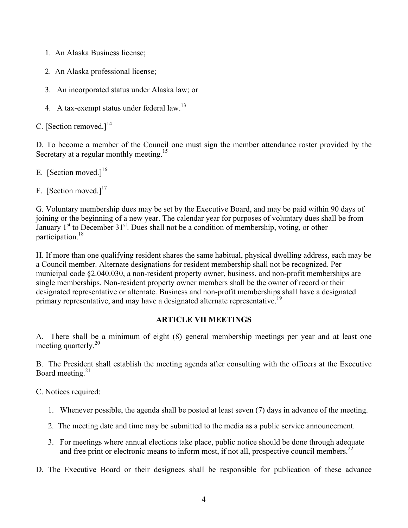- 1. An Alaska Business license;
- 2. An Alaska professional license;
- 3. An incorporated status under Alaska law; or
- 4. A tax-exempt status under federal law.<sup>13</sup>

C. [Section removed.] $^{14}$ 

D. To become a member of the Council one must sign the member attendance roster provided by the Secretary at a regular monthly meeting.<sup>15</sup>

E. [Section moved.] $^{16}$ 

F. [Section moved.] $17$ 

G. Voluntary membership dues may be set by the Executive Board, and may be paid within 90 days of joining or the beginning of a new year. The calendar year for purposes of voluntary dues shall be from January  $1<sup>st</sup>$  to December 31<sup>st</sup>. Dues shall not be a condition of membership, voting, or other participation.18

H. If more than one qualifying resident shares the same habitual, physical dwelling address, each may be a Council member. Alternate designations for resident membership shall not be recognized. Per municipal code §2.040.030, a non-resident property owner, business, and non-profit memberships are single memberships. Non-resident property owner members shall be the owner of record or their designated representative or alternate. Business and non-profit memberships shall have a designated primary representative, and may have a designated alternate representative.<sup>19</sup>

# **ARTICLE VII MEETINGS**

A. There shall be a minimum of eight (8) general membership meetings per year and at least one meeting quarterly.<sup>20</sup>

B. The President shall establish the meeting agenda after consulting with the officers at the Executive Board meeting. $21$ 

C. Notices required:

- 1. Whenever possible, the agenda shall be posted at least seven (7) days in advance of the meeting.
- 2. The meeting date and time may be submitted to the media as a public service announcement.
- 3. For meetings where annual elections take place, public notice should be done through adequate and free print or electronic means to inform most, if not all, prospective council members.<sup>22</sup>

D. The Executive Board or their designees shall be responsible for publication of these advance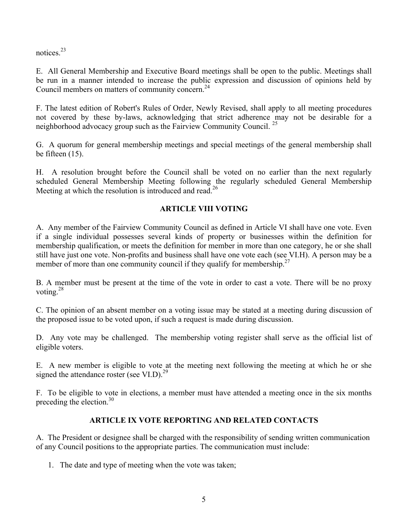notices.23

E. All General Membership and Executive Board meetings shall be open to the public. Meetings shall be run in a manner intended to increase the public expression and discussion of opinions held by Council members on matters of community concern.<sup>24</sup>

F. The latest edition of Robert's Rules of Order, Newly Revised, shall apply to all meeting procedures not covered by these by-laws, acknowledging that strict adherence may not be desirable for a neighborhood advocacy group such as the Fairview Community Council.<sup>25</sup>

G. A quorum for general membership meetings and special meetings of the general membership shall be fifteen (15).

H. A resolution brought before the Council shall be voted on no earlier than the next regularly scheduled General Membership Meeting following the regularly scheduled General Membership Meeting at which the resolution is introduced and read.<sup>26</sup>

# **ARTICLE VIII VOTING**

A. Any member of the Fairview Community Council as defined in Article VI shall have one vote. Even if a single individual possesses several kinds of property or businesses within the definition for membership qualification, or meets the definition for member in more than one category, he or she shall still have just one vote. Non-profits and business shall have one vote each (see VI.H). A person may be a member of more than one community council if they qualify for membership.<sup>27</sup>

B. A member must be present at the time of the vote in order to cast a vote. There will be no proxy voting.28

C. The opinion of an absent member on a voting issue may be stated at a meeting during discussion of the proposed issue to be voted upon, if such a request is made during discussion.

D. Any vote may be challenged. The membership voting register shall serve as the official list of eligible voters.

E. A new member is eligible to vote at the meeting next following the meeting at which he or she signed the attendance roster (see VI.D).<sup>29</sup>

F. To be eligible to vote in elections, a member must have attended a meeting once in the six months preceding the election. $30<sup>30</sup>$ 

# **ARTICLE IX VOTE REPORTING AND RELATED CONTACTS**

A. The President or designee shall be charged with the responsibility of sending written communication of any Council positions to the appropriate parties. The communication must include:

1. The date and type of meeting when the vote was taken;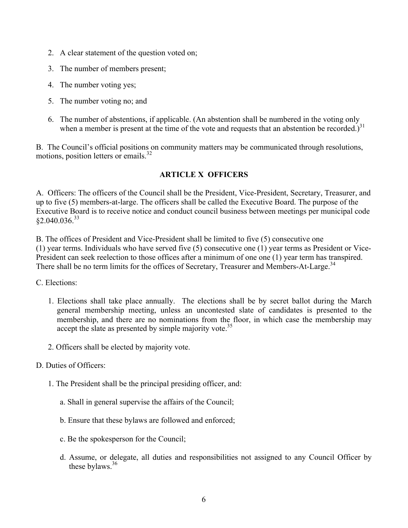- 2. A clear statement of the question voted on;
- 3. The number of members present;
- 4. The number voting yes;
- 5. The number voting no; and
- 6. The number of abstentions, if applicable. (An abstention shall be numbered in the voting only when a member is present at the time of the vote and requests that an abstention be recorded.)<sup>31</sup>

B. The Council's official positions on community matters may be communicated through resolutions, motions, position letters or emails.<sup>32</sup>

## **ARTICLE X OFFICERS**

A. Officers: The officers of the Council shall be the President, Vice-President, Secretary, Treasurer, and up to five (5) members-at-large. The officers shall be called the Executive Board. The purpose of the Executive Board is to receive notice and conduct council business between meetings per municipal code  $$2.040.036.<sup>33</sup>$ 

B. The offices of President and Vice-President shall be limited to five (5) consecutive one (1) year terms. Individuals who have served five (5) consecutive one (1) year terms as President or Vice-President can seek reelection to those offices after a minimum of one one (1) year term has transpired. There shall be no term limits for the offices of Secretary, Treasurer and Members-At-Large.<sup>34</sup>

C. Elections:

- 1. Elections shall take place annually. The elections shall be by secret ballot during the March general membership meeting, unless an uncontested slate of candidates is presented to the membership, and there are no nominations from the floor, in which case the membership may accept the slate as presented by simple majority vote.<sup>35</sup>
- 2. Officers shall be elected by majority vote.
- D. Duties of Officers:
	- 1. The President shall be the principal presiding officer, and:
		- a. Shall in general supervise the affairs of the Council;
		- b. Ensure that these bylaws are followed and enforced;
		- c. Be the spokesperson for the Council;
		- d. Assume, or delegate, all duties and responsibilities not assigned to any Council Officer by these bylaws. $36$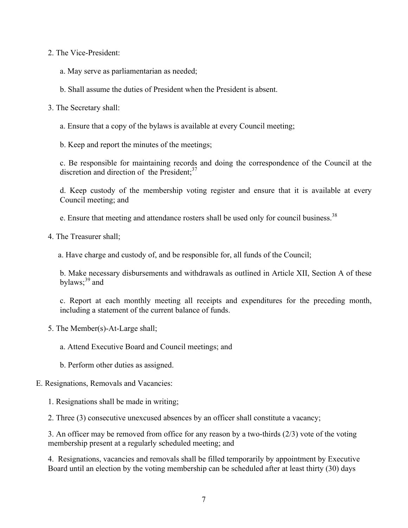2. The Vice-President:

a. May serve as parliamentarian as needed;

b. Shall assume the duties of President when the President is absent.

3. The Secretary shall:

a. Ensure that a copy of the bylaws is available at every Council meeting;

b. Keep and report the minutes of the meetings;

c. Be responsible for maintaining records and doing the correspondence of the Council at the discretion and direction of the President: $37$ 

d. Keep custody of the membership voting register and ensure that it is available at every Council meeting; and

e. Ensure that meeting and attendance rosters shall be used only for council business.<sup>38</sup>

4. The Treasurer shall;

a. Have charge and custody of, and be responsible for, all funds of the Council;

b. Make necessary disbursements and withdrawals as outlined in Article XII, Section A of these bylaws; $39$  and

c. Report at each monthly meeting all receipts and expenditures for the preceding month, including a statement of the current balance of funds.

5. The Member(s)-At-Large shall;

a. Attend Executive Board and Council meetings; and

b. Perform other duties as assigned.

# E. Resignations, Removals and Vacancies:

1. Resignations shall be made in writing;

2. Three (3) consecutive unexcused absences by an officer shall constitute a vacancy;

3. An officer may be removed from office for any reason by a two-thirds (2/3) vote of the voting membership present at a regularly scheduled meeting; and

4. Resignations, vacancies and removals shall be filled temporarily by appointment by Executive Board until an election by the voting membership can be scheduled after at least thirty (30) days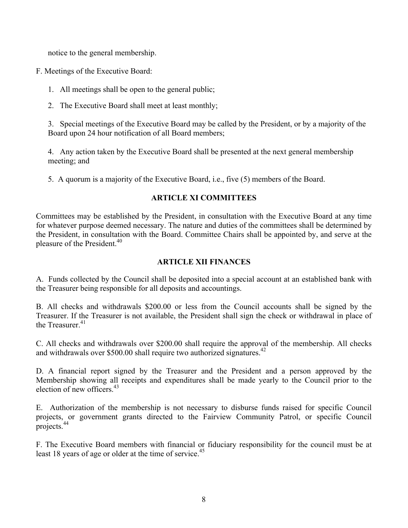notice to the general membership.

F. Meetings of the Executive Board:

- 1. All meetings shall be open to the general public;
- 2. The Executive Board shall meet at least monthly;

3. Special meetings of the Executive Board may be called by the President, or by a majority of the Board upon 24 hour notification of all Board members;

4. Any action taken by the Executive Board shall be presented at the next general membership meeting; and

5. A quorum is a majority of the Executive Board, i.e., five (5) members of the Board.

# **ARTICLE XI COMMITTEES**

Committees may be established by the President, in consultation with the Executive Board at any time for whatever purpose deemed necessary. The nature and duties of the committees shall be determined by the President, in consultation with the Board. Committee Chairs shall be appointed by, and serve at the pleasure of the President.<sup>40</sup>

# **ARTICLE XII FINANCES**

A. Funds collected by the Council shall be deposited into a special account at an established bank with the Treasurer being responsible for all deposits and accountings.

B. All checks and withdrawals \$200.00 or less from the Council accounts shall be signed by the Treasurer. If the Treasurer is not available, the President shall sign the check or withdrawal in place of the Treasurer $^{41}$ 

C. All checks and withdrawals over \$200.00 shall require the approval of the membership. All checks and withdrawals over \$500.00 shall require two authorized signatures.<sup>42</sup>

D. A financial report signed by the Treasurer and the President and a person approved by the Membership showing all receipts and expenditures shall be made yearly to the Council prior to the election of new officers.<sup>43</sup>

E. Authorization of the membership is not necessary to disburse funds raised for specific Council projects, or government grants directed to the Fairview Community Patrol, or specific Council projects.<sup>44</sup>

F. The Executive Board members with financial or fiduciary responsibility for the council must be at least 18 years of age or older at the time of service.<sup>45</sup>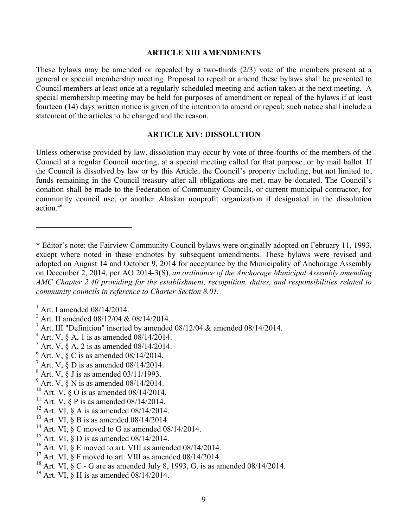#### **ARTICLE XIII AMENDMENTS**

These bylaws may be amended or repealed by a two-thirds (2/3) vote of the members present at a general or special membership meeting. Proposal to repeal or amend these bylaws shall be presented to Council members at least once at a regularly scheduled meeting and action taken at the next meeting. A special membership meeting may be held for purposes of amendment or repeal of the bylaws if at least fourteen (14) days written notice is given of the intention to amend or repeal; such notice shall include a statement of the articles to be changed and the reason.

#### **ARTICLE XIV: DISSOLUTION**

Unless otherwise provided by law, dissolution may occur by vote of three-fourths of the members of the Council at a regular Council meeting, at a special meeting called for that purpose, or by mail ballot. If the Council is dissolved by law or by this Article, the Council's property including, but not limited to, funds remaining in the Council treasury after all obligations are met, may be donated. The Council's donation shall be made to the Federation of Community Councils, or current municipal contractor, for community council use, or another Alaskan nonprofit organization if designated in the dissolution action.<sup>46</sup>

 $\overline{a}$ 

<sup>13</sup> Art. VI,  $\S$  B is as amended 08/14/2014.

- <sup>15</sup> Art. VI,  $\S$  D is as amended 08/14/2014.
- <sup>16</sup> Art. VI,  $\S$  E moved to art. VIII as amended 08/14/2014.
- <sup>17</sup> Art. VI,  $\S$  F moved to art. VIII as amended 08/14/2014.
- <sup>18</sup> Art. VI,  $\S$  C G are as amended July 8, 1993, G. is as amended 08/14/2014.
- <sup>19</sup> Art. VI,  $\S$  H is as amended 08/14/2014.

**<sup>\*</sup>** Editor's note: the Fairview Community Council bylaws were originally adopted on February 11, 1993, except where noted in these endnotes by subsequent amendments. These bylaws were revised and adopted on August 14 and October 9, 2014 for acceptance by the Municipality of Anchorage Assembly on December 2, 2014, per AO 2014-3(S), *an ordinance of the Anchorage Municipal Assembly amending AMC Chapter 2.40 providing for the establishment, recognition, duties, and responsibilities related to community councils in reference to Charter Section 8.01.*

<sup>&</sup>lt;sup>1</sup> Art. I amended 08/14/2014.<br><sup>2</sup> Art. II amended 08/12/04 & 08/14/2014.

<sup>&</sup>lt;sup>3</sup> Art. III "Definition" inserted by amended 08/12/04 & amended 08/14/2014.  $4$  Art. V, § A, 1 is as amended 08/14/2014.

 $5$  Art. V,  $\S$  A, 2 is as amended 08/14/2014.

 $6$  Art. V,  $\S$  C is as amended 08/14/2014.

 $^7$  Art. V,  $\frac{6}{9}$  D is as amended 08/14/2014.<br><sup>8</sup> Art. V,  $\frac{6}{9}$  J is as amended 03/11/1993.

 $9$  Art. V,  $\frac{8}{9}$  N is as amended 08/14/2014.

<sup>&</sup>lt;sup>10</sup> Art.  $V, \S$  O is as amended 08/14/2014.

<sup>&</sup>lt;sup>11</sup> Art. V,  $\frac{8}{9}$  P is as amended 08/14/2014.

<sup>&</sup>lt;sup>12</sup> Art. VI, § A is as amended  $08/14/2014$ .

<sup>&</sup>lt;sup>14</sup> Art. VI,  $\zeta$  C moved to G as amended 08/14/2014.